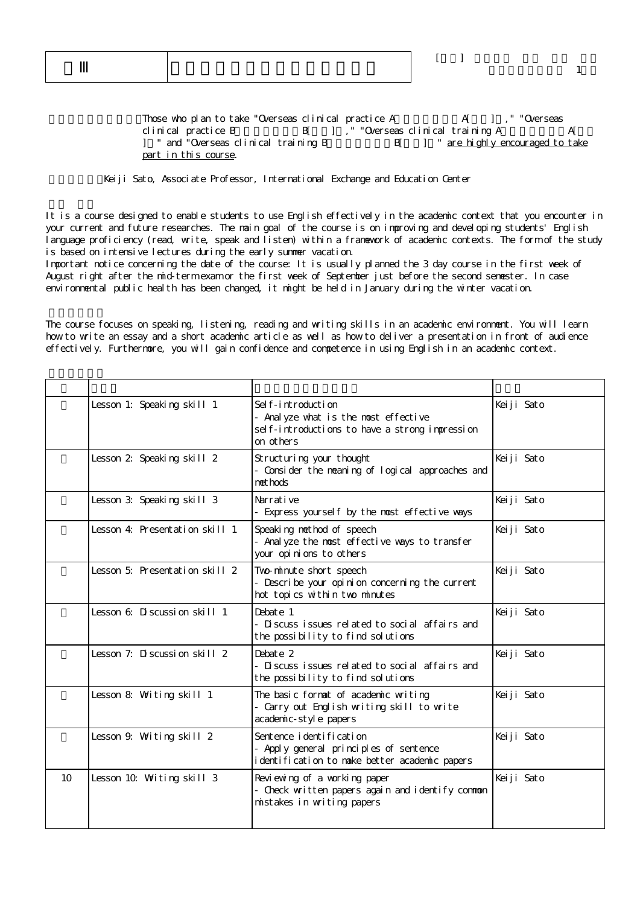Those who plan to take "Overseas clinical practice A A[ ], " "Overseas clinical practice B
B[ ], " "Overseas clinical training A
A[ ] " and "Overseas clinical training B B[ ] " are highly encouraged to take part in this course.

Keiji Sato, Associate Professor, International Exchange and Education Center

It is a course designed to enable students to use English effectively in the academic context that you encounter in your current and future researches. The main goal of the course is on improving and developing students' English language proficiency (read, write, speak and listen) within a framework of academic contexts. The form of the study is based on intensive lectures during the early summer vacation.

Important notice concerning the date of the course: It is usually planned the 3 day course in the first week of August right after the mid-term exam or the first week of September just before the second semester. In case environmental public health has been changed, it might be held in January during the winter vacation.

The course focuses on speaking, listening, reading and writing skills in an academic environment. You will learn how to write an essay and a short academic article as well as how to deliver a presentation in front of audience effectively. Furthermore, you will gain confidence and competence in using English in an academic context.

|    | Lesson 1: Speaking skill 1     | Sel f-introduction<br>- Analyze what is the most effective<br>sel f-introductions to have a strong impression<br>on others | Keiji Sato |
|----|--------------------------------|----------------------------------------------------------------------------------------------------------------------------|------------|
|    | Lesson 2 Speaking skill 2      | Structuring your thought<br>- Consider the meaning of logical approaches and<br>net hods                                   | Keiji Sato |
|    | Lesson 3: Speaking skill 3     | Narrative<br>- Express yourself by the most effective ways                                                                 | Keiji Sato |
|    | Lesson 4: Presentation skill 1 | Speaking method of speech<br>- Anal yze the most effective ways to transfer<br>your opinions to others                     | Keiji Sato |
|    | Lesson 5: Presentation skill 2 | Two-minute short speech<br>- Describe your opinion concerning the current<br>hot topics within two minutes                 | Keiji Sato |
|    | Lesson 6: Discussion skill 1   | Debate 1<br>- Discuss issues related to social affairs and<br>the possibility to find solutions                            | Keiji Sato |
|    | Lesson 7: Discussion skill 2   | Debate 2<br>- Discuss issues related to social affairs and<br>the possibility to find solutions                            | Keiji Sato |
|    | Lesson 8: Writing skill 1      | The basic format of academic writing<br>- Carry out English writing skill to write<br>academic-style papers                | Keiji Sato |
|    | Lesson 9. Writing skill 2      | Sentence i denti fi cati on<br>- Apply general principles of sentence<br>i dentification to make better academic papers    | Keiji Sato |
| 10 | Lesson 10. Writing skill 3     | Reviewing of a working paper<br>- Check written papers again and identify common<br>mistakes in writing papers             | Keiji Sato |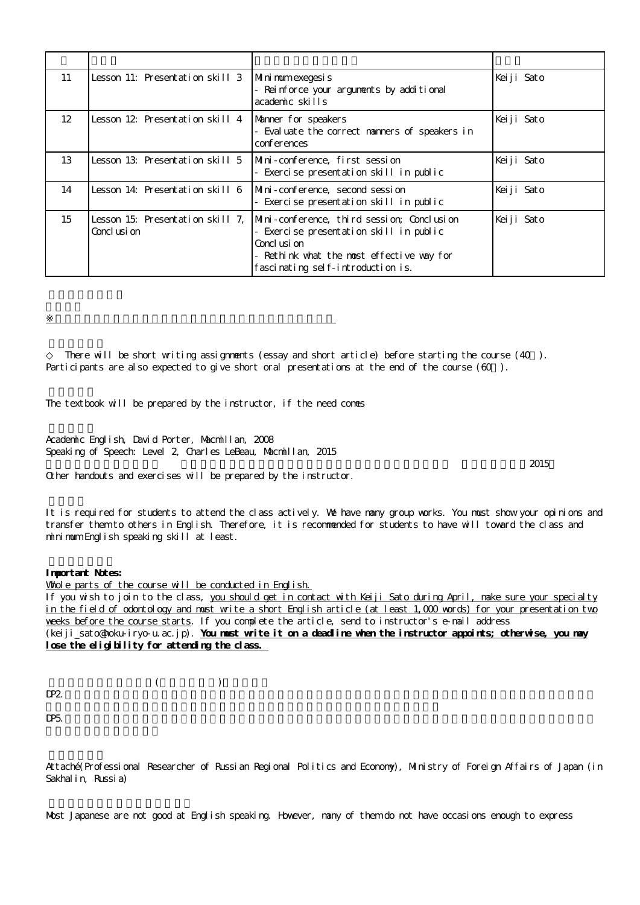| 11                | Lesson 11: Presentation skill 3                  | Mini mum exegesi s<br>- Reinforce your arguments by additional<br>academic skills                                                                                                      | Keiji Sato |
|-------------------|--------------------------------------------------|----------------------------------------------------------------------------------------------------------------------------------------------------------------------------------------|------------|
| $12 \overline{ }$ | Lesson 12 Presentation skill 4                   | Manner for speakers<br>- Evaluate the correct manners of speakers in<br>conferences                                                                                                    | Keiji Sato |
| 13                | Lesson 13: Presentation skill 5                  | Mini-conference, first session<br>- Exercise presentation skill in public                                                                                                              | Keiji Sato |
| 14                | Lesson 14: Presentation skill 6                  | Mini-conference, second session<br>Exercise presentation skill in public                                                                                                               | Keiji Sato |
| 15                | Lesson 15: Presentation skill 7.<br>Concl usi on | Mini-conference, third session; Conclusion<br>Exercise presentation skill in public<br>Concl usi on<br>- Rethink what the most effective way for<br>fasci nating self-introduction is. | Keiji Sato |

There will be short writing assignments (essay and short article) before starting the course (40). Participants are also expected to give short oral presentations at the end of the course ( $60$ ).

The textbook will be prepared by the instructor, if the need comes

Academic English, David Porter, Macmillan, 2008 Speaking of Speech: Level 2, Charles LeBeau, Macmillan, 2015

 $\mathbb{R}^d$  , and the set of the set of the set of the set of the set of the set of the set of the set of the set of the set of the set of the set of the set of the set of the set of the set of the set of the set of the se

Other handouts and exercises will be prepared by the instructor.

It is required for students to attend the class actively. We have many group works. You must show your opinions and transfer them to others in English. Therefore, it is recommended for students to have will toward the class and minimum English speaking skill at least.

## **Important Notes:**

Whole parts of the course will be conducted in English. If you wish to join to the class, you should get in contact with Keiji Sato during April, make sure your specialty in the field of odontology and must write a short English article (at least 1,000 words) for your presentation two weeks before the course starts. If you complete the article, send to instructor's e-mail address (keiji\_sato@hoku-iryo-u.ac.jp). **You must write it on a deadline when the instructor appoints; otherwise, you may lose the eligibility for attending the class.**

 $($  $DP2$ .

 $DP5.$ 

Attaché(Professional Researcher of Russian Regional Politics and Economy), Ministry of Foreign Affairs of Japan (in Sakhalin, Russia)

Most Japanese are not good at English speaking. However, many of them do not have occasions enough to express

 $\sim$  2015